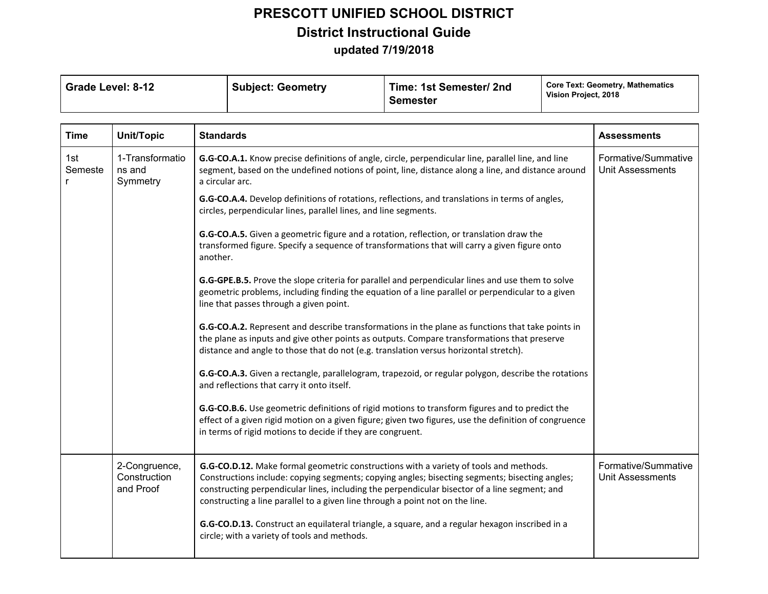| <b>Subject: Geometry</b> | Time: 1st Semester/ 2nd | Core Text: Geometry, Mathematics |
|--------------------------|-------------------------|----------------------------------|
| Grade Level: 8-12        | <b>Semester</b>         | Vision Project, 2018             |

| <b>Time</b>    | <b>Unit/Topic</b>                          | <b>Standards</b>                                                                                                                                                                                                                                                                                                                                                          | <b>Assessments</b>                             |
|----------------|--------------------------------------------|---------------------------------------------------------------------------------------------------------------------------------------------------------------------------------------------------------------------------------------------------------------------------------------------------------------------------------------------------------------------------|------------------------------------------------|
| 1st<br>Semeste | 1-Transformatio<br>ns and<br>Symmetry      | G.G-CO.A.1. Know precise definitions of angle, circle, perpendicular line, parallel line, and line<br>segment, based on the undefined notions of point, line, distance along a line, and distance around<br>a circular arc.                                                                                                                                               | Formative/Summative<br><b>Unit Assessments</b> |
|                |                                            | G.G-CO.A.4. Develop definitions of rotations, reflections, and translations in terms of angles,<br>circles, perpendicular lines, parallel lines, and line segments.                                                                                                                                                                                                       |                                                |
|                |                                            | G.G-CO.A.5. Given a geometric figure and a rotation, reflection, or translation draw the<br>transformed figure. Specify a sequence of transformations that will carry a given figure onto<br>another.                                                                                                                                                                     |                                                |
|                |                                            | G.G-GPE.B.5. Prove the slope criteria for parallel and perpendicular lines and use them to solve<br>geometric problems, including finding the equation of a line parallel or perpendicular to a given<br>line that passes through a given point.                                                                                                                          |                                                |
|                |                                            | G.G-CO.A.2. Represent and describe transformations in the plane as functions that take points in<br>the plane as inputs and give other points as outputs. Compare transformations that preserve<br>distance and angle to those that do not (e.g. translation versus horizontal stretch).                                                                                  |                                                |
|                |                                            | G.G-CO.A.3. Given a rectangle, parallelogram, trapezoid, or regular polygon, describe the rotations<br>and reflections that carry it onto itself.                                                                                                                                                                                                                         |                                                |
|                |                                            | G.G-CO.B.6. Use geometric definitions of rigid motions to transform figures and to predict the<br>effect of a given rigid motion on a given figure; given two figures, use the definition of congruence<br>in terms of rigid motions to decide if they are congruent.                                                                                                     |                                                |
|                | 2-Congruence,<br>Construction<br>and Proof | G.G-CO.D.12. Make formal geometric constructions with a variety of tools and methods.<br>Constructions include: copying segments; copying angles; bisecting segments; bisecting angles;<br>constructing perpendicular lines, including the perpendicular bisector of a line segment; and<br>constructing a line parallel to a given line through a point not on the line. | Formative/Summative<br><b>Unit Assessments</b> |
|                |                                            | G.G-CO.D.13. Construct an equilateral triangle, a square, and a regular hexagon inscribed in a<br>circle; with a variety of tools and methods.                                                                                                                                                                                                                            |                                                |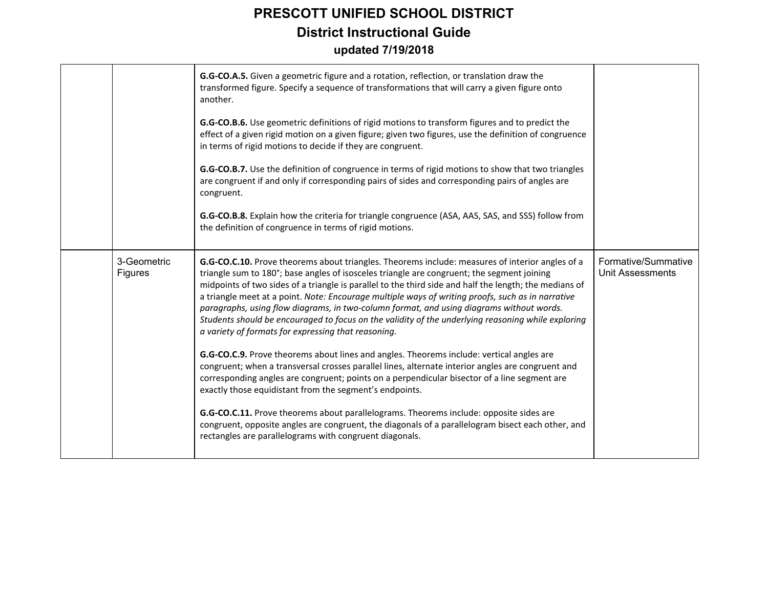|                        | G.G-CO.A.5. Given a geometric figure and a rotation, reflection, or translation draw the<br>transformed figure. Specify a sequence of transformations that will carry a given figure onto<br>another.<br>G.G-CO.B.6. Use geometric definitions of rigid motions to transform figures and to predict the<br>effect of a given rigid motion on a given figure; given two figures, use the definition of congruence<br>in terms of rigid motions to decide if they are congruent.<br>G.G-CO.B.7. Use the definition of congruence in terms of rigid motions to show that two triangles<br>are congruent if and only if corresponding pairs of sides and corresponding pairs of angles are<br>congruent.<br>G.G-CO.B.8. Explain how the criteria for triangle congruence (ASA, AAS, SAS, and SSS) follow from<br>the definition of congruence in terms of rigid motions.                                                                                                                                                                                                                                                                                                                                                                                                                        |                                                |
|------------------------|---------------------------------------------------------------------------------------------------------------------------------------------------------------------------------------------------------------------------------------------------------------------------------------------------------------------------------------------------------------------------------------------------------------------------------------------------------------------------------------------------------------------------------------------------------------------------------------------------------------------------------------------------------------------------------------------------------------------------------------------------------------------------------------------------------------------------------------------------------------------------------------------------------------------------------------------------------------------------------------------------------------------------------------------------------------------------------------------------------------------------------------------------------------------------------------------------------------------------------------------------------------------------------------------|------------------------------------------------|
| 3-Geometric<br>Figures | G.G-CO.C.10. Prove theorems about triangles. Theorems include: measures of interior angles of a<br>triangle sum to 180°; base angles of isosceles triangle are congruent; the segment joining<br>midpoints of two sides of a triangle is parallel to the third side and half the length; the medians of<br>a triangle meet at a point. Note: Encourage multiple ways of writing proofs, such as in narrative<br>paragraphs, using flow diagrams, in two-column format, and using diagrams without words.<br>Students should be encouraged to focus on the validity of the underlying reasoning while exploring<br>a variety of formats for expressing that reasoning.<br>G.G-CO.C.9. Prove theorems about lines and angles. Theorems include: vertical angles are<br>congruent; when a transversal crosses parallel lines, alternate interior angles are congruent and<br>corresponding angles are congruent; points on a perpendicular bisector of a line segment are<br>exactly those equidistant from the segment's endpoints.<br>G.G-CO.C.11. Prove theorems about parallelograms. Theorems include: opposite sides are<br>congruent, opposite angles are congruent, the diagonals of a parallelogram bisect each other, and<br>rectangles are parallelograms with congruent diagonals. | Formative/Summative<br><b>Unit Assessments</b> |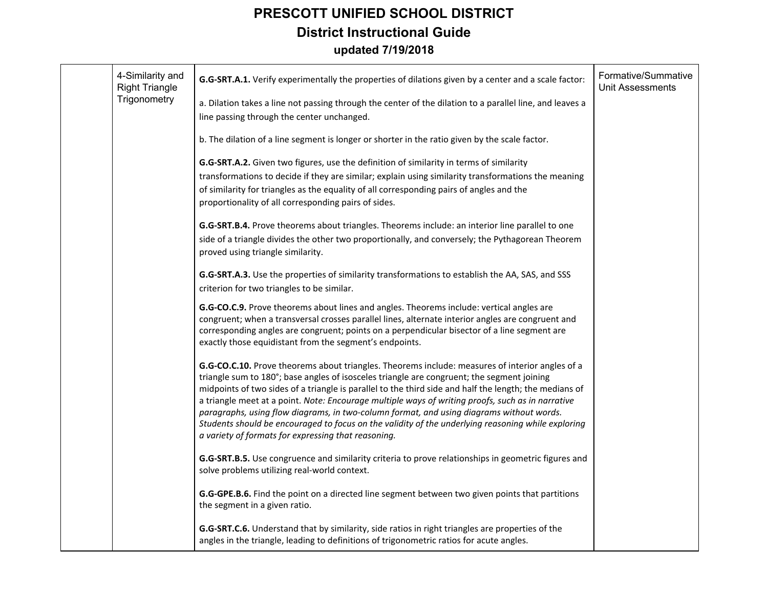| 4-Similarity and<br><b>Right Triangle</b> | <b>G.G-SRT.A.1.</b> Verify experimentally the properties of dilations given by a center and a scale factor:                                                                                                                                                                                                                                                                                                                                                                                                                                                                                                                                                           | Formative/Summative<br><b>Unit Assessments</b> |
|-------------------------------------------|-----------------------------------------------------------------------------------------------------------------------------------------------------------------------------------------------------------------------------------------------------------------------------------------------------------------------------------------------------------------------------------------------------------------------------------------------------------------------------------------------------------------------------------------------------------------------------------------------------------------------------------------------------------------------|------------------------------------------------|
| Trigonometry                              | a. Dilation takes a line not passing through the center of the dilation to a parallel line, and leaves a<br>line passing through the center unchanged.                                                                                                                                                                                                                                                                                                                                                                                                                                                                                                                |                                                |
|                                           | b. The dilation of a line segment is longer or shorter in the ratio given by the scale factor.                                                                                                                                                                                                                                                                                                                                                                                                                                                                                                                                                                        |                                                |
|                                           | G.G-SRT.A.2. Given two figures, use the definition of similarity in terms of similarity<br>transformations to decide if they are similar; explain using similarity transformations the meaning<br>of similarity for triangles as the equality of all corresponding pairs of angles and the<br>proportionality of all corresponding pairs of sides.                                                                                                                                                                                                                                                                                                                    |                                                |
|                                           | G.G-SRT.B.4. Prove theorems about triangles. Theorems include: an interior line parallel to one<br>side of a triangle divides the other two proportionally, and conversely; the Pythagorean Theorem<br>proved using triangle similarity.                                                                                                                                                                                                                                                                                                                                                                                                                              |                                                |
|                                           | G.G-SRT.A.3. Use the properties of similarity transformations to establish the AA, SAS, and SSS<br>criterion for two triangles to be similar.                                                                                                                                                                                                                                                                                                                                                                                                                                                                                                                         |                                                |
|                                           | G.G-CO.C.9. Prove theorems about lines and angles. Theorems include: vertical angles are<br>congruent; when a transversal crosses parallel lines, alternate interior angles are congruent and<br>corresponding angles are congruent; points on a perpendicular bisector of a line segment are<br>exactly those equidistant from the segment's endpoints.                                                                                                                                                                                                                                                                                                              |                                                |
|                                           | G.G-CO.C.10. Prove theorems about triangles. Theorems include: measures of interior angles of a<br>triangle sum to 180°; base angles of isosceles triangle are congruent; the segment joining<br>midpoints of two sides of a triangle is parallel to the third side and half the length; the medians of<br>a triangle meet at a point. Note: Encourage multiple ways of writing proofs, such as in narrative<br>paragraphs, using flow diagrams, in two-column format, and using diagrams without words.<br>Students should be encouraged to focus on the validity of the underlying reasoning while exploring<br>a variety of formats for expressing that reasoning. |                                                |
|                                           | G.G-SRT.B.5. Use congruence and similarity criteria to prove relationships in geometric figures and<br>solve problems utilizing real-world context.                                                                                                                                                                                                                                                                                                                                                                                                                                                                                                                   |                                                |
|                                           | G.G-GPE.B.6. Find the point on a directed line segment between two given points that partitions<br>the segment in a given ratio.                                                                                                                                                                                                                                                                                                                                                                                                                                                                                                                                      |                                                |
|                                           | G.G-SRT.C.6. Understand that by similarity, side ratios in right triangles are properties of the<br>angles in the triangle, leading to definitions of trigonometric ratios for acute angles.                                                                                                                                                                                                                                                                                                                                                                                                                                                                          |                                                |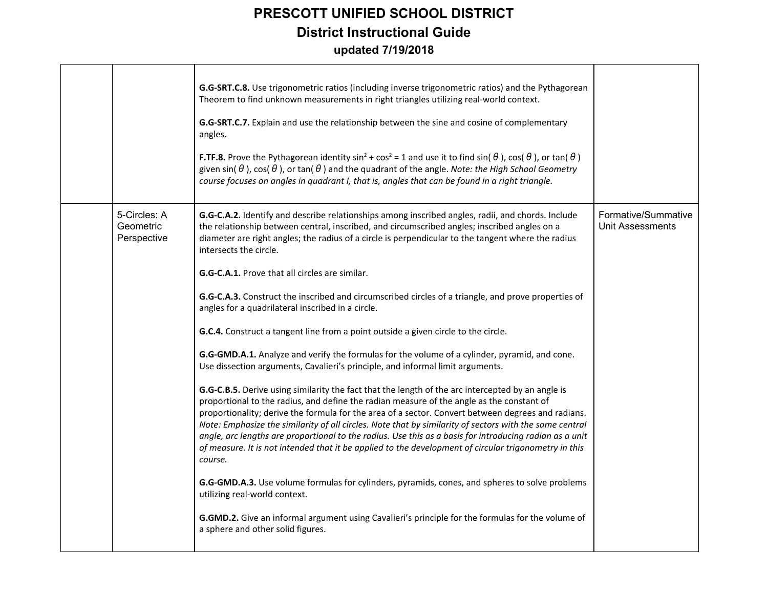|                                          | G.G-SRT.C.8. Use trigonometric ratios (including inverse trigonometric ratios) and the Pythagorean<br>Theorem to find unknown measurements in right triangles utilizing real-world context.<br>G.G-SRT.C.7. Explain and use the relationship between the sine and cosine of complementary<br>angles.<br><b>F.TF.8.</b> Prove the Pythagorean identity $\sin^2$ + $\cos^2$ = 1 and use it to find $\sin(\theta)$ , $\cos(\theta)$ , or $\tan(\theta)$<br>given sin( $\theta$ ), cos( $\theta$ ), or tan( $\theta$ ) and the quadrant of the angle. Note: the High School Geometry<br>course focuses on angles in quadrant I, that is, angles that can be found in a right triangle.                                                                                                                                                                                                                                                                                                                                                                                                                                                                                                                                                                                                                                                                                                                                                                                                                                                                                                                                                                                                                                                                             |                                         |
|------------------------------------------|----------------------------------------------------------------------------------------------------------------------------------------------------------------------------------------------------------------------------------------------------------------------------------------------------------------------------------------------------------------------------------------------------------------------------------------------------------------------------------------------------------------------------------------------------------------------------------------------------------------------------------------------------------------------------------------------------------------------------------------------------------------------------------------------------------------------------------------------------------------------------------------------------------------------------------------------------------------------------------------------------------------------------------------------------------------------------------------------------------------------------------------------------------------------------------------------------------------------------------------------------------------------------------------------------------------------------------------------------------------------------------------------------------------------------------------------------------------------------------------------------------------------------------------------------------------------------------------------------------------------------------------------------------------------------------------------------------------------------------------------------------------|-----------------------------------------|
| 5-Circles: A<br>Geometric<br>Perspective | G.G-C.A.2. Identify and describe relationships among inscribed angles, radii, and chords. Include<br>the relationship between central, inscribed, and circumscribed angles; inscribed angles on a<br>diameter are right angles; the radius of a circle is perpendicular to the tangent where the radius<br>intersects the circle.<br><b>G.G-C.A.1.</b> Prove that all circles are similar.<br>G.G-C.A.3. Construct the inscribed and circumscribed circles of a triangle, and prove properties of<br>angles for a quadrilateral inscribed in a circle.<br>G.C.4. Construct a tangent line from a point outside a given circle to the circle.<br>G.G-GMD.A.1. Analyze and verify the formulas for the volume of a cylinder, pyramid, and cone.<br>Use dissection arguments, Cavalieri's principle, and informal limit arguments.<br>G.G-C.B.5. Derive using similarity the fact that the length of the arc intercepted by an angle is<br>proportional to the radius, and define the radian measure of the angle as the constant of<br>proportionality; derive the formula for the area of a sector. Convert between degrees and radians.<br>Note: Emphasize the similarity of all circles. Note that by similarity of sectors with the same central<br>angle, arc lengths are proportional to the radius. Use this as a basis for introducing radian as a unit<br>of measure. It is not intended that it be applied to the development of circular trigonometry in this<br>course.<br>G.G-GMD.A.3. Use volume formulas for cylinders, pyramids, cones, and spheres to solve problems<br>utilizing real-world context.<br>G.GMD.2. Give an informal argument using Cavalieri's principle for the formulas for the volume of<br>a sphere and other solid figures. | Formative/Summative<br>Unit Assessments |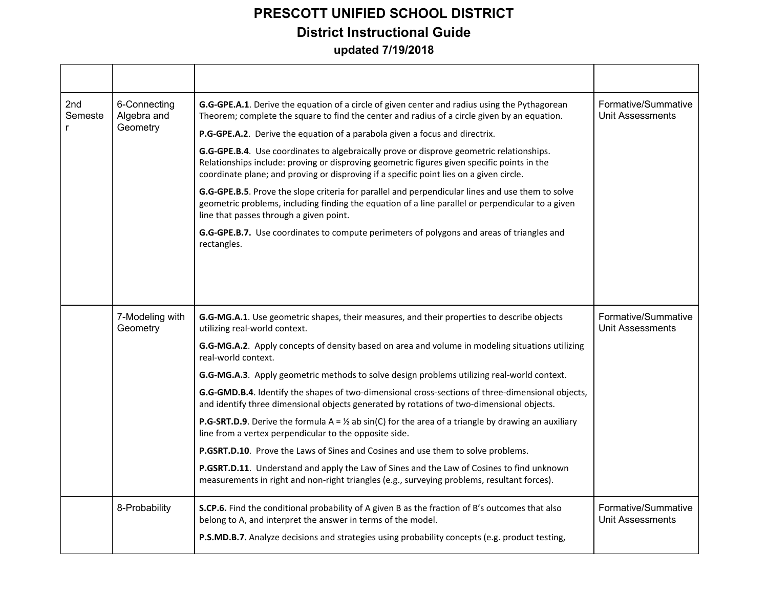| 2nd<br>Semeste<br>r | 6-Connecting<br>Algebra and<br>Geometry | G.G-GPE.A.1. Derive the equation of a circle of given center and radius using the Pythagorean<br>Theorem; complete the square to find the center and radius of a circle given by an equation.                                                                                      | Formative/Summative<br>Unit Assessments |
|---------------------|-----------------------------------------|------------------------------------------------------------------------------------------------------------------------------------------------------------------------------------------------------------------------------------------------------------------------------------|-----------------------------------------|
|                     |                                         | P.G-GPE.A.2. Derive the equation of a parabola given a focus and directrix.                                                                                                                                                                                                        |                                         |
|                     |                                         | G.G-GPE.B.4. Use coordinates to algebraically prove or disprove geometric relationships.<br>Relationships include: proving or disproving geometric figures given specific points in the<br>coordinate plane; and proving or disproving if a specific point lies on a given circle. |                                         |
|                     |                                         | G.G-GPE.B.5. Prove the slope criteria for parallel and perpendicular lines and use them to solve<br>geometric problems, including finding the equation of a line parallel or perpendicular to a given<br>line that passes through a given point.                                   |                                         |
|                     |                                         | G.G-GPE.B.7. Use coordinates to compute perimeters of polygons and areas of triangles and<br>rectangles.                                                                                                                                                                           |                                         |
|                     |                                         |                                                                                                                                                                                                                                                                                    |                                         |
|                     | 7-Modeling with<br>Geometry             | G.G-MG.A.1. Use geometric shapes, their measures, and their properties to describe objects<br>utilizing real-world context.                                                                                                                                                        | Formative/Summative<br>Unit Assessments |
|                     |                                         | G.G-MG.A.2. Apply concepts of density based on area and volume in modeling situations utilizing<br>real-world context.                                                                                                                                                             |                                         |
|                     |                                         | G.G-MG.A.3. Apply geometric methods to solve design problems utilizing real-world context.                                                                                                                                                                                         |                                         |
|                     |                                         | G.G-GMD.B.4. Identify the shapes of two-dimensional cross-sections of three-dimensional objects,<br>and identify three dimensional objects generated by rotations of two-dimensional objects.                                                                                      |                                         |
|                     |                                         | <b>P.G-SRT.D.9</b> . Derive the formula $A = \frac{1}{2}$ ab sin(C) for the area of a triangle by drawing an auxiliary<br>line from a vertex perpendicular to the opposite side.                                                                                                   |                                         |
|                     |                                         | P.GSRT.D.10. Prove the Laws of Sines and Cosines and use them to solve problems.                                                                                                                                                                                                   |                                         |
|                     |                                         | P.GSRT.D.11. Understand and apply the Law of Sines and the Law of Cosines to find unknown<br>measurements in right and non-right triangles (e.g., surveying problems, resultant forces).                                                                                           |                                         |
|                     | 8-Probability                           | S.CP.6. Find the conditional probability of A given B as the fraction of B's outcomes that also<br>belong to A, and interpret the answer in terms of the model.<br>P.S.MD.B.7. Analyze decisions and strategies using probability concepts (e.g. product testing,                  | Formative/Summative<br>Unit Assessments |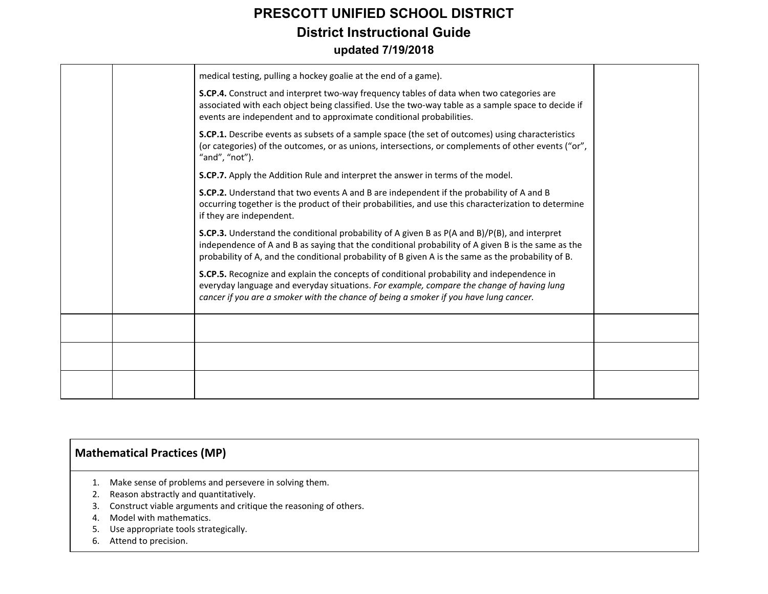|  | medical testing, pulling a hockey goalie at the end of a game).                                                                                                                                                                                                                                                   |  |
|--|-------------------------------------------------------------------------------------------------------------------------------------------------------------------------------------------------------------------------------------------------------------------------------------------------------------------|--|
|  | S.CP.4. Construct and interpret two-way frequency tables of data when two categories are<br>associated with each object being classified. Use the two-way table as a sample space to decide if<br>events are independent and to approximate conditional probabilities.                                            |  |
|  | S.CP.1. Describe events as subsets of a sample space (the set of outcomes) using characteristics<br>(or categories) of the outcomes, or as unions, intersections, or complements of other events ("or",<br>"and", "not").                                                                                         |  |
|  | S.CP.7. Apply the Addition Rule and interpret the answer in terms of the model.                                                                                                                                                                                                                                   |  |
|  | S.CP.2. Understand that two events A and B are independent if the probability of A and B<br>occurring together is the product of their probabilities, and use this characterization to determine<br>if they are independent.                                                                                      |  |
|  | <b>S.CP.3.</b> Understand the conditional probability of A given B as P(A and B)/P(B), and interpret<br>independence of A and B as saying that the conditional probability of A given B is the same as the<br>probability of A, and the conditional probability of B given A is the same as the probability of B. |  |
|  | S.CP.5. Recognize and explain the concepts of conditional probability and independence in<br>everyday language and everyday situations. For example, compare the change of having lung<br>cancer if you are a smoker with the chance of being a smoker if you have lung cancer.                                   |  |
|  |                                                                                                                                                                                                                                                                                                                   |  |
|  |                                                                                                                                                                                                                                                                                                                   |  |
|  |                                                                                                                                                                                                                                                                                                                   |  |

#### **Mathematical Practices (MP)**

- 1. Make sense of problems and persevere in solving them.
- 2. Reason abstractly and quantitatively.
- 3. Construct viable arguments and critique the reasoning of others.
- 4. Model with mathematics.
- 5. Use appropriate tools strategically.
- 6. Attend to precision.